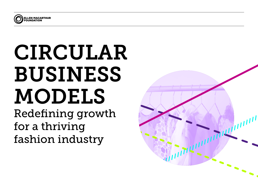

# CIRCULAR BUSINESS MODELS

Redefining growth for a thriving fashion industry

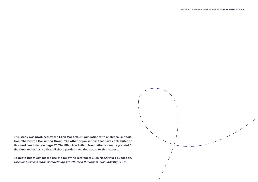$\overline{\mathscr{S}}$ 

**This study was produced by the Ellen MacArthur Foundation with analytical support from The Boston Consulting Group. The other organisations that have contributed to this work are listed on page 57. The Ellen MacArthur Foundation is deeply grateful for the time and expertise that all these parties have dedicated to this project.** 

**To quote this study, please use the following reference: Ellen MacArthur Foundation, Circular business models: redefining growth for a thriving fashion industry (2021).**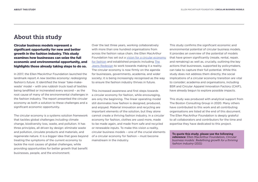# About this study

Circular business models represent a significant opportunity for new and better growth in the fashion industry. This study examines how businesses can seize the full economic and environmental opportunity, and highlights those already taking steps to do so.

In 2017, the Ellen MacArthur Foundation launched the landmark report *A new textiles economy: redesigning fashion's future*. It identified the linear 'take-makewaste' model – with one rubbish truck load of textiles being landfilled or incinerated every second – as the root cause of many of the environmental challenges in the fashion industry. The report presented the circular economy as both a solution to these challenges and a significant economic opportunity.

The circular economy is a systems solution framework that tackles global challenges including climate change, biodiversity loss, waste, and pollution. It has three principles, all driven by design: eliminate waste and pollution, circulate products and materials, and regenerate nature. It is a bigger idea that goes beyond treating the symptoms of the current economy to tackle the root causes of global challenges, while providing opportunities for better growth that benefit businesses, people, and the environment.

Over the last three years, working collaboratively with more than one hundred organisations from across the fashion value chain, the Ellen MacArthur Foundation has set out a [vision for a circular economy](https://emf.thirdlight.com/link/nbwff6ugh01m-y15u3p/@/preview/1?o)  [for fashion](https://emf.thirdlight.com/link/nbwff6ugh01m-y15u3p/@/preview/1?o) and established projects including [The](https://ellenmacarthurfoundation.org/the-jeans-redesign) [Jeans Redesign](https://ellenmacarthurfoundation.org/the-jeans-redesign) to work towards making it a reality. The circular economy is now firmly on the agenda for businesses, governments, academia, and wider society; it is being increasingly recognised as the way to ensure the fashion industry thrives in future.

This increased awareness and first steps towards a circular economy for fashion, while encouraging, are only the beginning. The linear operating model still dominates how fashion is designed, produced, and enjoyed. Material innovation and recycling are important elements of the solution, but they alone cannot create a thriving fashion industry. In a circular economy for fashion, clothes are used more, made to be made again, and made from safe and recycled or renewable inputs. To make this vision a reality, circular business models – one of the crucial elements of a circular economy for fashion – must become mainstream in the industry.

This study confirms the significant economic and environmental potential of circular business models. It provides an overview of the potential of models that have grown significantly (resale, rental, repair, and remaking) as well as, crucially, outlining the key actions that businesses, supported by policymakers, can take to capture their full potential. While this study does not address them directly, the social implications of a circular economy transition are vital to consider; academia and organisations, including BSR and Circular Apparel Innovation Factory (CAIF), have already begun to explore possible impacts.

This study was produced with analytical support from The Boston Consulting Group in 2020. Many others have contributed to this work and all contributing organisations are listed at the end of this document. The Ellen MacArthur Foundation is deeply grateful to all collaborators and contributors for the time and expertise they have dedicated to this project.

To quote this study, please use the following reference: Ellen MacArthur Foundation, *Circular business models: Redefining growth for a thriving fashion industry* (2021)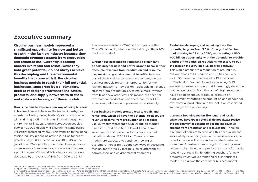# Executive summary

Circular business models represent a significant opportunity for new and better growth in the fashion industry because they decouple revenue streams from production and resource use. Currently, booming models like rental and resale, while they hold great potential, do not always achieve this decoupling and the environmental benefits that come with it. For circular business models to reach their full potential, businesses, supported by policymakers, need to redesign performance indicators, products, and supply networks to fit them – and scale a wider range of these models.

**Now is the time to explore a new way of doing business** 

**in fashion.** In recent decades, the fashion industry has experienced ever growing levels of production, coupled with shrinking profit margins and increasing negative environmental impacts. Clothing production doubled between 2000 and 2015 while, during the same period, utilisation<sup>i</sup> decreased by 36%.<sup>1</sup> This trend led to the global fashion industry producing around 2.1 billion tonnes of greenhouse gas (GHG) emissions in 2018 – 4% of the global total.<sup>2</sup> On top of this, due to ever lower prices and lost revenues – from overstock, stockouts, and returns – profit margins of the world's leading apparel retailers decreased by an average of 40% from 2016 to 2019.<sup>3</sup>

This was exacerbated in 2020 by the impacts of the Covid-19 pandemic, which saw the industry suffer a 90% decline in profits.4

**Circular business models represent a significant opportunity for new and better growth because they decouple revenues from production and resource use, maximising environmental benefits.** As a key part of the transition to a circular economy, circular business models present an opportunity for the fashion industry to – by design – decouple its revenue streams from production, i.e. to make more revenue from fewer new products. This means less need for raw material production and therefore lower GHG emissions, pollution, and pressure on biodiversity.

**Four business models (rental, resale, repair, and remaking), which all have the potential to decouple revenue streams from production and resource use, currently represent a USD 73 billion market.**  Since 2019, and despite the Covid-19 pandemic, seven<sup>ii</sup> rental and resale platforms have reached valuations above USD 1 billion. These business models are expected to continue growing as customers increasingly adopt new ways of accessing fashion, motivated by factors such as affordability, convenience, and environmental awareness.

**Rental, resale, repair, and remaking have the potential to grow from 3.5% of the global fashion market today to 23% by 2030, representing a USD 700 billion opportunity with the potential to provide a third of the emission reductions necessary to put the fashion industry on a 1.5-degree pathway.**iii This would amount to a reduction of around 340 million tonnes of  $CO<sub>2</sub>$  equivalent ( $CO<sub>2</sub>e$ ) annually by 2030, more than the annual GHG emissions of Thailand or France.<sup>5</sup> As well as reducing GHG emissions, business models that increasingly decouple revenue generation from the use of virgin resources have also been shown to reduce pressure on biodiversity by cutting the amount of land needed for raw material production and the pollution associated with virgin fibre processing.<sup>6</sup>

**Currently, booming sectors like rental and resale, while they have great potential, do not always realise the environmental benefits of decoupling revenue streams from production and resource use.** There are a number of barriers to achieving this decoupling and successfully developing circular business models. One is performance indicators and associated customer incentives. A business measuring its success by sales volumes might incentivise product take-back for resale, remaking, or recycling by offering vouchers for new products which, while promoting circular business models, also grows the core linear business model.

i Utilisation is defined as the average number of times a garment is worn before it ceases to be used

ii. Depop, Rent the Runway, The Real Real, Vinted, Poshmark, Vestiaire Collective, and thredUP

iii To meet the 1.5-degree pathway set out by the Intergovernmental Panel on Climate Change (IPCC) and ratified by signatories to the 2015 Paris agreement, the fashion industry needs to reduce emissions by around 50% - or Source: McKinsey & Company and Global Fashion Agenda, [Fashion on Climate](http://www2.globalfashionagenda.com/initiatives/fashion-on-climate/#/) (2020). If rental, resale, repair, and remaking reach a 23% market share by 2030, in aggregate, this could lead to an overall CO2e emission reduction up to 16%, providing up to a third of the abatement needed to be on a 1.5-degree pathway. See Appendix page 69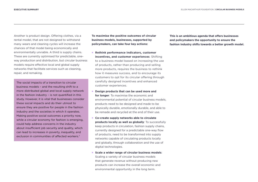Another is product design. Offering clothes, via a rental model, that are not designed to withstand many wears and cleaning cycles will increase the chances of that model being economically and environmentally unviable. A third is supply chains. These are currently optimised for predictable, oneway production and distribution, but circular business models require effective local and global supply networks that facilitate services such as cleaning, repair, and remaking.

The social impacts of a transition to circular business models – and the resulting shift to a more distributed global and local supply network in the fashion industry – is not quantified in this study. However, it is vital that businesses consider these social impacts and do their utmost to ensure they are positive for people in the fashion industry and the societies in which it operates. Making positive social outcomes a priority now, while a circular economy for fashion is emerging, could help address concerns in the industry about insufficient job security and quality, which can lead to increases in poverty, inequality, and exclusion in communities of affected workers.<sup>7</sup>

**To maximise the positive outcomes of circular business models, businesses, supported by policymakers, can take four key actions:**

- ∞ **Rethink performance indicators, customer incentives, and customer experiences**: Shifting to a business model based on increasing the use of products, rather than producing and selling more products, requires the business to rethink how it measures success, and to encourage its customers to opt for its circular offering through carefully designed incentives and enhanced customer experiences.
- ∞ **Design products that can be used more and for longer**: To maximise the economic and environmental potential of circular business models, products need to be designed and made to be physically durable, emotionally durable, and able to be remade and recycled at the end of their use.
- ∞ **Co-create supply networks able to circulate products locally as well as globally**: To successfully keep products in circulation, fashion supply chains, currently designed for a predictable one-way flow of products, need to be transformed into supply networks capable of circulating products locally and globally, through collaboration and the use of digital technologies.
- ∞ **Scale a wider range of circular business models**: Scaling a variety of circular business models that generate revenue without producing new products can increase the overall economic and environmental opportunity in the long term.

**This is an ambitious agenda that offers businesses and policymakers the opportunity to ensure the fashion industry shifts towards a better growth model.**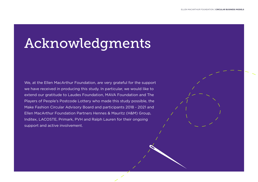# Acknowledgments

We, at the Ellen MacArthur Foundation, are very grateful for the support we have received in producing this study. In particular, we would like to extend our gratitude to Laudes Foundation, MAVA Foundation and The Players of People's Postcode Lottery who made this study possible, the Make Fashion Circular Advisory Board and participants 2018 - 2021 and Ellen MacArthur Foundation Partners Hennes & Mauritz (H&M) Group, Inditex, LACOSTE, Primark, PVH and Ralph Lauren for their ongoing support and active involvement.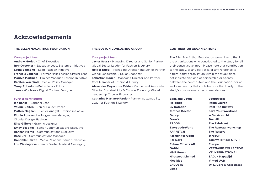## Acknowledgements

#### **THE ELLEN MACARTHUR FOUNDATION**

#### **Core project team**

**Andrew Morlet** – Chief Executive **Rob Opsomer** – Executive Lead, Systemic Initiatives **Laura Balmond** – Lead, Fashion Initiative **François Souchet** – Former Make Fashion Circular Lead **Marilyn Martinez** – Project Manager, Fashion Initiative **Carsten Wachholz** – Senior Policy Manager **Tansy Robertson-Fall** – Senior Editor **James Woolven** – Digital Content Designer

#### **Further contributors**

**Ian Banks** – Editorial Lead **Valerie Boiten** – Senior Policy Officer **Matteo Magnani** – Senior Analyst, Fashion initiative **Elodie Rousselot** – Programme Manager, Circular Design, Fashion **Elisa Gilbert** – Graphic designer **Emily Scadgel** – Senior Communications Executive **Hannah Morris** – Communications Executive **Rose Ely** – Communications Manager **Gabriella Hewitt** – Media Relations, Senior Executive **Lou Waldagrave** – Senior Writer, Media & Messaging

#### **THE BOSTON CONSULTING GROUP**

#### **Core project team**

**Javier Seara** – Managing Director and Senior Partner, Global Sector Leader for Fashion & Luxury **Holger Rubel** – Managing Director and Senior Partner, Global Leadership Circular Economy **Sebastian Boger** – Managing Director and Partner, Core Member of Fashion & Luxury **Alexander Meyer zum Felde** – Partner and Associate Director Sustainability & Circular Economy, Global Leadership Circular Economy **Catharina Martinez-Pardo** – Partner, Sustainability

Lead for Fashion & Luxury

#### **CONTRIBUTOR ORGANISATIONS**

The Ellen MacArthur Foundation would like to thank the organisations who contributed to the study for all their constructive input. Please note that contribution to the study, or any part of it, or any reference to a third-party organisation within the study, does not indicate any kind of partnership or agency between the contributors and the Foundation, nor an endorsement by that contributor or third party of the study's conclusions or recommendations.

**Bank and Vogue Holdings By Rotation Clothes Doctor Depop DressX ERDOS EverybodyWorld FARFETCH Fashion for Good For Days Future Closets AB GANNI H&M Group Hirestreet Limited klee klee LACOSTE Lizee**

**Looptworks Ralph Lauren Rent The Runway Save Your Wardrobe w Services Ltd Teemill The Fabricant The Renewal workshop The Restory thredUP Tommy Hilfiger & PVH Europe VESTIAIRE COLLECTIVE VF INTERNATIONAL SAGL - Napapijri Vinted UAB W. L. Gore & Associates**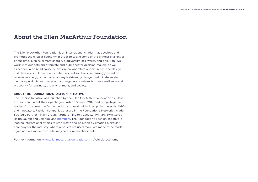## About the Ellen MacArthur Foundation

The Ellen MacArthur Foundation is an international charity that develops and promotes the circular economy in order to tackle some of the biggest challenges of our time, such as climate change, biodiversity loss, waste, and pollution. We work with our network of private and public sector decision-makers, as well as academia, to build capacity, explore collaborative opportunities, and design and develop circular economy initiatives and solutions. Increasingly based on renewable energy, a circular economy is driven by design to eliminate waste, circulate products and materials, and regenerate nature, to create resilience and prosperity for business, the environment, and society.

#### **ABOUT THE FOUNDATION'S FASHION INITIATIVE**

The Fashion Initiative was launched by the Ellen MacArthur Foundation as 'Make Fashion Circular' at the Copenhagen Fashion Summit 2017, and brings together leaders from across the fashion industry to work with cities, philanthropists, NGOs, and innovators. Fashion companies that are in the Foundation's Network include: Strategic Partner – H&M Group, Partners – Inditex, Lacoste, Primark, PVH Corp., Ralph Lauren and Zalando, and [members.](https://ellenmacarthurfoundation.org/network/who-is-in-the-network) The Foundation's Fashion Initiative is leading international efforts to stop waste and pollution by creating a circular economy for the industry, where products are used more, are made to be made again and are made from safe, recycled or renewable inputs.

Further information: [www.ellenmacarthurfoundation.org](http://www.ellenmacarthurfoundation.org) | @circulareconomy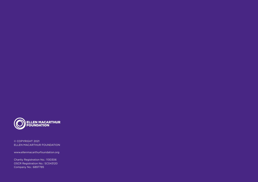

© COPYRIGHT 2021 ELLEN MACARTHUR FOUNDATION

www.ellenmacarthurfoundation.org

Charity Registration No.: 1130306 OSCR Registration No.: SC043120 Company No.: 6897785